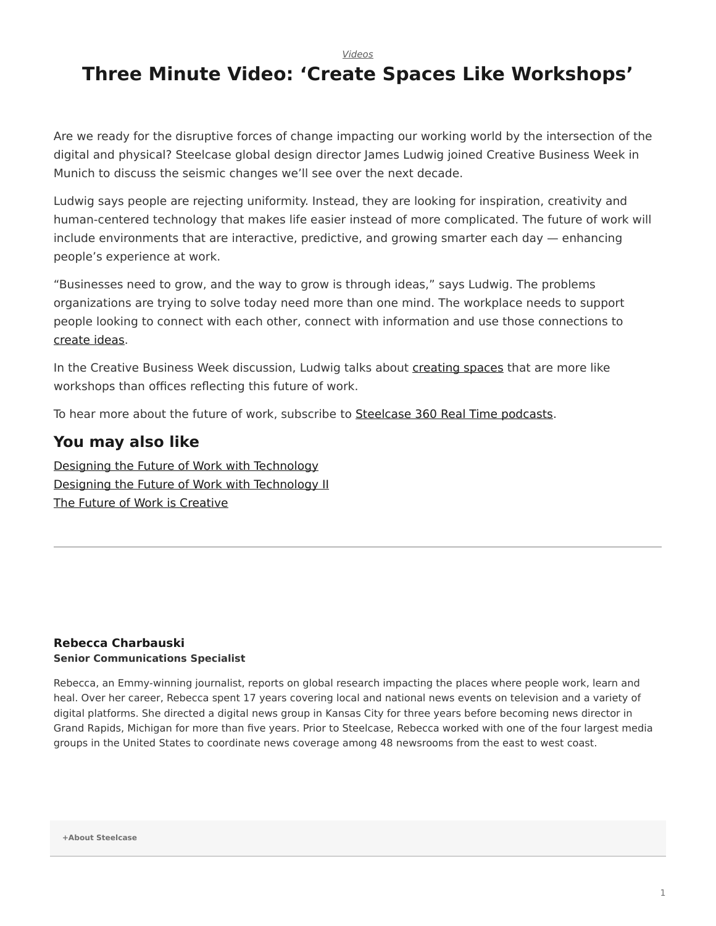*[Videos](https://www.steelcase.com/research/topics/video/)*

## <span id="page-0-0"></span>**Three Minute Video: 'Create Spaces Like Workshops'**

Are we ready for the disruptive forces of change impacting our working world by the intersection of the digital and physical? Steelcase global design director James Ludwig joined Creative Business Week in Munich to discuss the seismic changes we'll see over the next decade.

Ludwig says people are rejecting uniformity. Instead, they are looking for inspiration, creativity and human-centered technology that makes life easier instead of more complicated. The future of work will include environments that are interactive, predictive, and growing smarter each day — enhancing people's experience at work.

"Businesses need to grow, and the way to grow is through ideas," says Ludwig. The problems organizations are trying to solve today need more than one mind. The workplace needs to support people looking to connect with each other, connect with information and use those connections to [create ideas.](https://www.steelcase.com/microsoft-steelcase/?utm_source=blog)

In the Creative Business Week discussion, Ludwig talks about [creating spaces](https://www.steelcase.com/microsoft-steelcase/creativity/?utm_source=blog) that are more like workshops than offices reflecting this future of work.

To hear more about the future of work, subscribe to [Steelcase 360 Real Time podcasts](https://itunes.apple.com/us/podcast/id1179584196).

## **You may also like**

[Designing the Future of Work with Technology](https://www.steelcase.com/blog/listen-designing-future-work-technology-part-1/) [Designing the Future of Work with Technology II](https://www.steelcase.com/research/podcasts/topics/technology/listen-designing-future-work-technology-ii/) [The Future of Work is Creative](https://www.steelcase.com/blog/listen-the-future-of-work-is-creative/)

## **[Rebecca Charbauski](https://www.steelcase.com/research/articles/author/rcharbausteelcase-com/) Senior Communications Specialist**

Rebecca, an Emmy-winning journalist, reports on global research impacting the places where people work, learn and heal. Over her career, Rebecca spent 17 years covering local and national news events on television and a variety of digital platforms. She directed a digital news group in Kansas City for three years before becoming news director in Grand Rapids, Michigan for more than five years. Prior to Steelcase, Rebecca worked with one of the four largest media groups in the United States to coordinate news coverage among 48 newsrooms from the east to west coast.